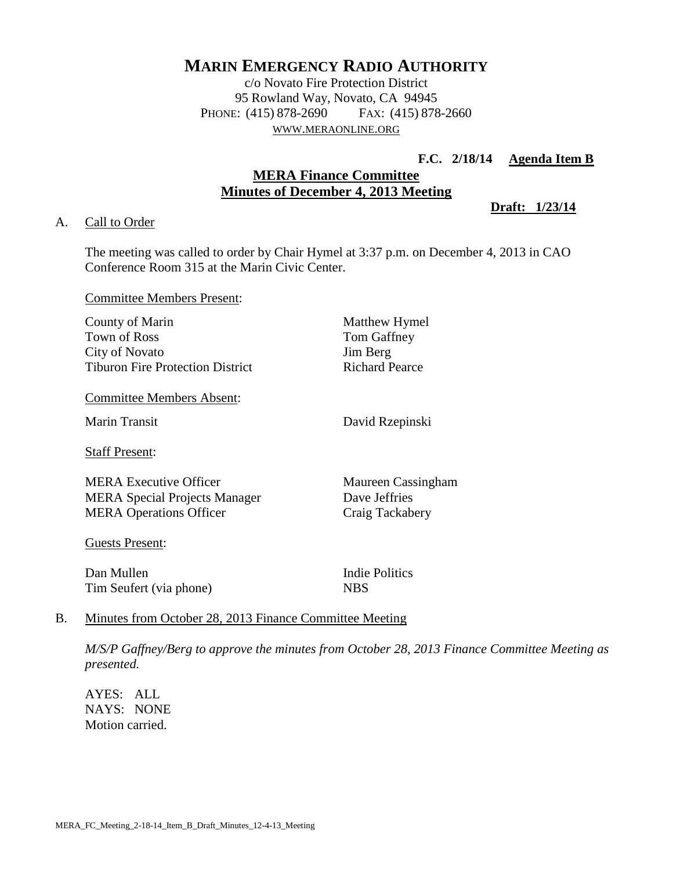# **MARIN EMERGENCY RADIO AUTHORITY**

c/o Novato Fire Protection District 95 Rowland Way, Novato, CA 94945 PHONE: (415) 878-2690 FAX: (415) 878-2660 WWW.[MERAONLINE](http://www.meraonline.org/).ORG

**F.C. 2/18/14 Agenda Item B** 

## **MERA Finance Committee Minutes of December 4, 2013 Meeting**

**Draft: 1/23/14**

#### A. Call to Order

The meeting was called to order by Chair Hymel at 3:37 p.m. on December 4, 2013 in CAO Conference Room 315 at the Marin Civic Center.

Committee Members Present:

| County of Marin                         | Matthew Hymel      |
|-----------------------------------------|--------------------|
| <b>Town of Ross</b>                     | Tom Gaffney        |
| City of Novato                          | Jim Berg           |
| <b>Tiburon Fire Protection District</b> | Richard Pearce     |
| <b>Committee Members Absent:</b>        |                    |
| <b>Marin Transit</b>                    | David Rzepinski    |
| <b>Staff Present:</b>                   |                    |
| MERA Executive Officer                  | Maureen Cassingham |
| <b>MERA Special Projects Manager</b>    | Dave Jeffries      |
| <b>MERA Operations Officer</b>          | Craig Tackabery    |
| <b>Guests Present:</b>                  |                    |

Dan Mullen Indie Politics Tim Seufert (via phone) NBS

## B. Minutes from October 28, 2013 Finance Committee Meeting

*M/S/P Gaffney/Berg to approve the minutes from October 28, 2013 Finance Committee Meeting as presented.*

AYES: ALL NAYS: NONE Motion carried.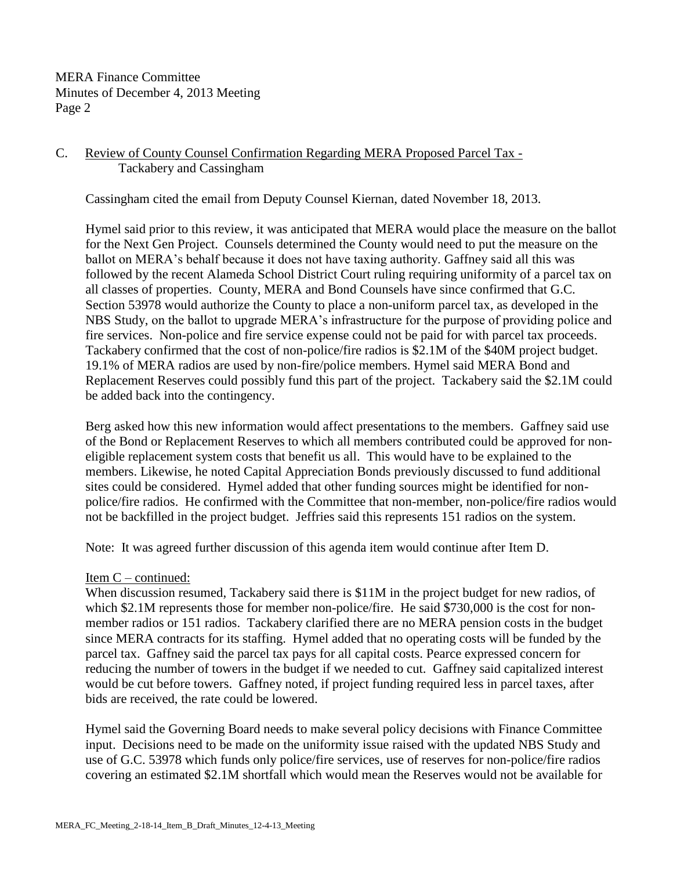MERA Finance Committee Minutes of December 4, 2013 Meeting Page 2

## C. Review of County Counsel Confirmation Regarding MERA Proposed Parcel Tax - Tackabery and Cassingham

Cassingham cited the email from Deputy Counsel Kiernan, dated November 18, 2013.

Hymel said prior to this review, it was anticipated that MERA would place the measure on the ballot for the Next Gen Project. Counsels determined the County would need to put the measure on the ballot on MERA's behalf because it does not have taxing authority. Gaffney said all this was followed by the recent Alameda School District Court ruling requiring uniformity of a parcel tax on all classes of properties. County, MERA and Bond Counsels have since confirmed that G.C. Section 53978 would authorize the County to place a non-uniform parcel tax, as developed in the NBS Study, on the ballot to upgrade MERA's infrastructure for the purpose of providing police and fire services. Non-police and fire service expense could not be paid for with parcel tax proceeds. Tackabery confirmed that the cost of non-police/fire radios is \$2.1M of the \$40M project budget. 19.1% of MERA radios are used by non-fire/police members. Hymel said MERA Bond and Replacement Reserves could possibly fund this part of the project. Tackabery said the \$2.1M could be added back into the contingency.

Berg asked how this new information would affect presentations to the members. Gaffney said use of the Bond or Replacement Reserves to which all members contributed could be approved for noneligible replacement system costs that benefit us all. This would have to be explained to the members. Likewise, he noted Capital Appreciation Bonds previously discussed to fund additional sites could be considered. Hymel added that other funding sources might be identified for nonpolice/fire radios. He confirmed with the Committee that non-member, non-police/fire radios would not be backfilled in the project budget. Jeffries said this represents 151 radios on the system.

Note: It was agreed further discussion of this agenda item would continue after Item D.

#### Item C – continued:

When discussion resumed, Tackabery said there is \$11M in the project budget for new radios, of which \$2.1M represents those for member non-police/fire. He said \$730,000 is the cost for nonmember radios or 151 radios. Tackabery clarified there are no MERA pension costs in the budget since MERA contracts for its staffing. Hymel added that no operating costs will be funded by the parcel tax. Gaffney said the parcel tax pays for all capital costs. Pearce expressed concern for reducing the number of towers in the budget if we needed to cut. Gaffney said capitalized interest would be cut before towers. Gaffney noted, if project funding required less in parcel taxes, after bids are received, the rate could be lowered.

Hymel said the Governing Board needs to make several policy decisions with Finance Committee input. Decisions need to be made on the uniformity issue raised with the updated NBS Study and use of G.C. 53978 which funds only police/fire services, use of reserves for non-police/fire radios covering an estimated \$2.1M shortfall which would mean the Reserves would not be available for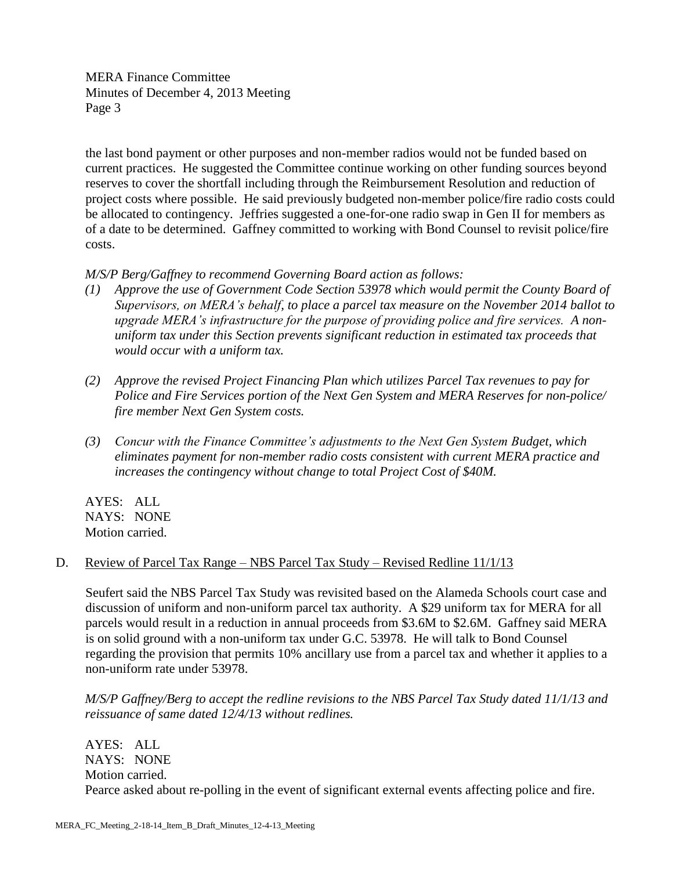MERA Finance Committee Minutes of December 4, 2013 Meeting Page 3

the last bond payment or other purposes and non-member radios would not be funded based on current practices. He suggested the Committee continue working on other funding sources beyond reserves to cover the shortfall including through the Reimbursement Resolution and reduction of project costs where possible. He said previously budgeted non-member police/fire radio costs could be allocated to contingency. Jeffries suggested a one-for-one radio swap in Gen II for members as of a date to be determined. Gaffney committed to working with Bond Counsel to revisit police/fire costs.

*M/S/P Berg/Gaffney to recommend Governing Board action as follows:*

- *(1) Approve the use of Government Code Section 53978 which would permit the County Board of Supervisors, on MERA's behalf, to place a parcel tax measure on the November 2014 ballot to upgrade MERA's infrastructure for the purpose of providing police and fire services. A nonuniform tax under this Section prevents significant reduction in estimated tax proceeds that would occur with a uniform tax.*
- *(2) Approve the revised Project Financing Plan which utilizes Parcel Tax revenues to pay for Police and Fire Services portion of the Next Gen System and MERA Reserves for non-police/ fire member Next Gen System costs.*
- *(3) Concur with the Finance Committee's adjustments to the Next Gen System Budget, which eliminates payment for non-member radio costs consistent with current MERA practice and increases the contingency without change to total Project Cost of \$40M.*

AYES: ALL NAYS: NONE Motion carried.

## D. Review of Parcel Tax Range – NBS Parcel Tax Study – Revised Redline 11/1/13

Seufert said the NBS Parcel Tax Study was revisited based on the Alameda Schools court case and discussion of uniform and non-uniform parcel tax authority. A \$29 uniform tax for MERA for all parcels would result in a reduction in annual proceeds from \$3.6M to \$2.6M. Gaffney said MERA is on solid ground with a non-uniform tax under G.C. 53978. He will talk to Bond Counsel regarding the provision that permits 10% ancillary use from a parcel tax and whether it applies to a non-uniform rate under 53978.

*M/S/P Gaffney/Berg to accept the redline revisions to the NBS Parcel Tax Study dated 11/1/13 and reissuance of same dated 12/4/13 without redlines.*

AYES: ALL NAYS: NONE Motion carried. Pearce asked about re-polling in the event of significant external events affecting police and fire.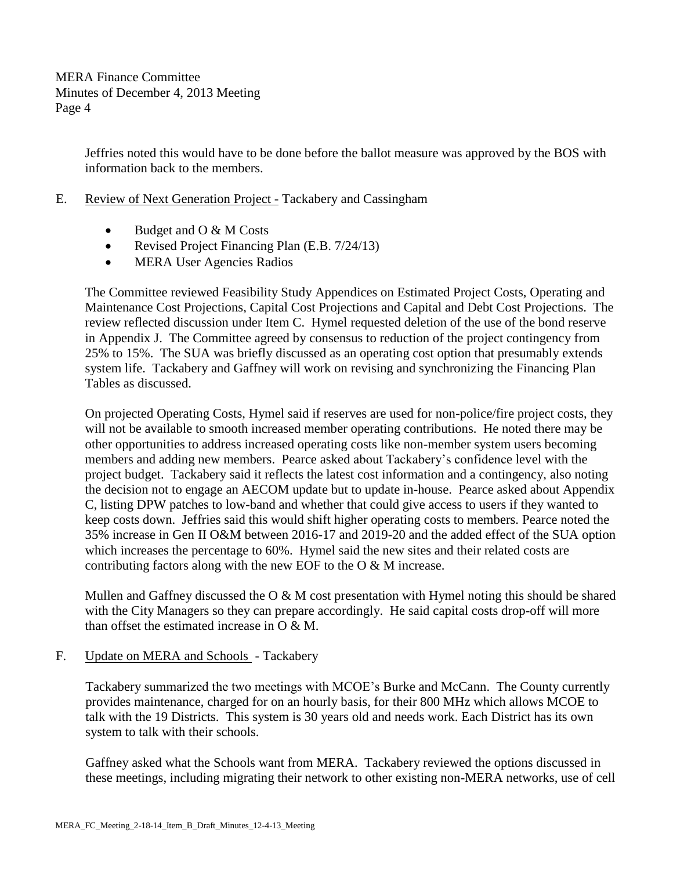Jeffries noted this would have to be done before the ballot measure was approved by the BOS with information back to the members.

- E. Review of Next Generation Project Tackabery and Cassingham
	- $\bullet$  Budget and O & M Costs
	- Revised Project Financing Plan (E.B. 7/24/13)
	- MERA User Agencies Radios

The Committee reviewed Feasibility Study Appendices on Estimated Project Costs, Operating and Maintenance Cost Projections, Capital Cost Projections and Capital and Debt Cost Projections. The review reflected discussion under Item C. Hymel requested deletion of the use of the bond reserve in Appendix J. The Committee agreed by consensus to reduction of the project contingency from 25% to 15%. The SUA was briefly discussed as an operating cost option that presumably extends system life. Tackabery and Gaffney will work on revising and synchronizing the Financing Plan Tables as discussed.

On projected Operating Costs, Hymel said if reserves are used for non-police/fire project costs, they will not be available to smooth increased member operating contributions. He noted there may be other opportunities to address increased operating costs like non-member system users becoming members and adding new members. Pearce asked about Tackabery's confidence level with the project budget. Tackabery said it reflects the latest cost information and a contingency, also noting the decision not to engage an AECOM update but to update in-house. Pearce asked about Appendix C, listing DPW patches to low-band and whether that could give access to users if they wanted to keep costs down. Jeffries said this would shift higher operating costs to members. Pearce noted the 35% increase in Gen II O&M between 2016-17 and 2019-20 and the added effect of the SUA option which increases the percentage to 60%. Hymel said the new sites and their related costs are contributing factors along with the new EOF to the O & M increase.

Mullen and Gaffney discussed the O & M cost presentation with Hymel noting this should be shared with the City Managers so they can prepare accordingly. He said capital costs drop-off will more than offset the estimated increase in  $O & M$ .

F. Update on MERA and Schools - Tackabery

Tackabery summarized the two meetings with MCOE's Burke and McCann. The County currently provides maintenance, charged for on an hourly basis, for their 800 MHz which allows MCOE to talk with the 19 Districts. This system is 30 years old and needs work. Each District has its own system to talk with their schools.

Gaffney asked what the Schools want from MERA. Tackabery reviewed the options discussed in these meetings, including migrating their network to other existing non-MERA networks, use of cell